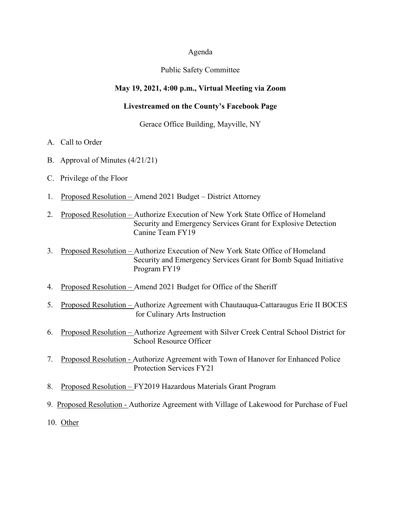#### Agenda

#### Public Safety Committee

### **May 19, 2021, 4:00 p.m., Virtual Meeting via Zoom**

### **Livestreamed on the County's Facebook Page**

#### Gerace Office Building, Mayville, NY

- A. Call to Order
- B. Approval of Minutes (4/21/21)
- C. Privilege of the Floor
- 1. Proposed Resolution Amend 2021 Budget District Attorney
- 2. Proposed Resolution Authorize Execution of New York State Office of Homeland Security and Emergency Services Grant for Explosive Detection Canine Team FY19
- 3. Proposed Resolution Authorize Execution of New York State Office of Homeland Security and Emergency Services Grant for Bomb Squad Initiative Program FY19
- 4. Proposed Resolution Amend 2021 Budget for Office of the Sheriff
- 5. Proposed Resolution Authorize Agreement with Chautauqua-Cattaraugus Erie II BOCES for Culinary Arts Instruction
- 6. Proposed Resolution Authorize Agreement with Silver Creek Central School District for School Resource Officer
- 7. Proposed Resolution Authorize Agreement with Town of Hanover for Enhanced Police Protection Services FY21
- 8. Proposed Resolution FY2019 Hazardous Materials Grant Program
- 9. Proposed Resolution Authorize Agreement with Village of Lakewood for Purchase of Fuel
- 10. Other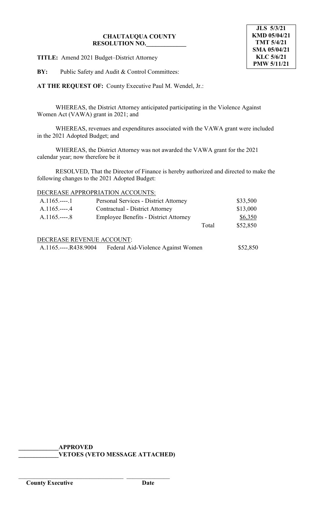**TITLE:** Amend 2021 Budget–District Attorney

**BY:** Public Safety and Audit & Control Committees:

**AT THE REQUEST OF:** County Executive Paul M. Wendel, Jr.:

WHEREAS, the District Attorney anticipated participating in the Violence Against Women Act (VAWA) grant in 2021; and

WHEREAS, revenues and expenditures associated with the VAWA grant were included in the 2021 Adopted Budget; and

WHEREAS, the District Attorney was not awarded the VAWA grant for the 2021 calendar year; now therefore be it

RESOLVED, That the Director of Finance is hereby authorized and directed to make the following changes to the 2021 Adopted Budget:

# DECREASE APPROPRIATION ACCOUNTS:

| $A.1165$ 1            | Personal Services - District Attorney        | \$33,500 |
|-----------------------|----------------------------------------------|----------|
| $A.1165.---4$         | <b>Contractual - District Attorney</b>       | \$13,000 |
| $A.1165.---8$         | <b>Employee Benefits - District Attorney</b> | \$6,350  |
|                       | Total                                        | \$52,850 |
|                       | DECREASE REVENUE ACCOUNT:                    |          |
| A.1165.----.R438.9004 | Federal Aid-Violence Against Women           | \$52,850 |

**\_\_\_\_\_\_\_\_\_\_\_\_\_APPROVED \_\_\_\_\_\_\_\_\_\_\_\_\_VETOES (VETO MESSAGE ATTACHED)**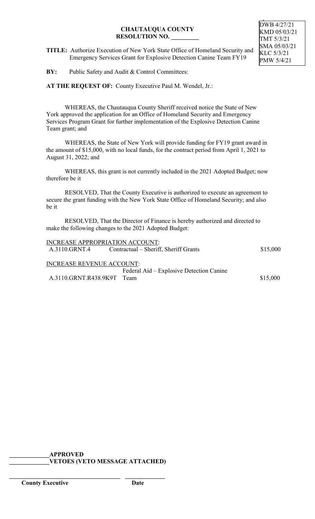**TITLE:** Authorize Execution of New York State Office of Homeland Security and Emergency Services Grant for Explosive Detection Canine Team FY19

**BY:** Public Safety and Audit & Control Committees:

**AT THE REQUEST OF:** County Executive Paul M. Wendel, Jr.:

WHEREAS, the Chautauqua County Sheriff received notice the State of New York approved the application for an Office of Homeland Security and Emergency Services Program Grant for further implementation of the Explosive Detection Canine Team grant; and

WHEREAS, the State of New York will provide funding for FY19 grant award in the amount of \$15,000, with no local funds, for the contract period from April 1, 2021 to August 31, 2022; and

WHEREAS, this grant is not currently included in the 2021 Adopted Budget; now therefore be it

RESOLVED, That the County Executive is authorized to execute an agreement to secure the grant funding with the New York State Office of Homeland Security; and also be it

RESOLVED, That the Director of Finance is hereby authorized and directed to make the following changes to the 2021 Adopted Budget:

| <b>INCREASE APPROPRIATION ACCOUNT:</b> |                                          |          |
|----------------------------------------|------------------------------------------|----------|
| A.3110.GRNT.4                          | Contractual – Sheriff, Sheriff Grants    | \$15,000 |
| <b>INCREASE REVENUE ACCOUNT:</b>       |                                          |          |
|                                        | Federal Aid – Explosive Detection Canine |          |
| A.3110.GRNT.R438.9K9T Team             |                                          | \$15,000 |
|                                        |                                          |          |

**\_\_\_\_\_\_\_\_\_\_\_\_\_APPROVED \_\_\_\_\_\_\_\_\_\_\_\_\_VETOES (VETO MESSAGE ATTACHED)**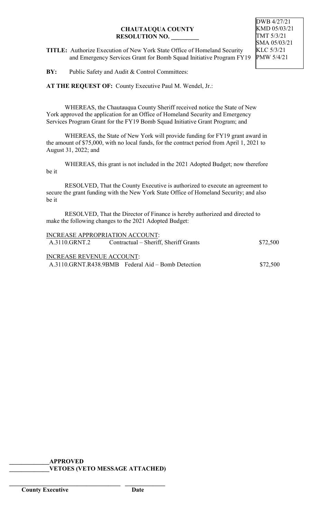**TITLE:** Authorize Execution of New York State Office of Homeland Security and Emergency Services Grant for Bomb Squad Initiative Program FY19

**BY:** Public Safety and Audit & Control Committees:

**AT THE REQUEST OF:** County Executive Paul M. Wendel, Jr.:

WHEREAS, the Chautauqua County Sheriff received notice the State of New York approved the application for an Office of Homeland Security and Emergency Services Program Grant for the FY19 Bomb Squad Initiative Grant Program; and

WHEREAS, the State of New York will provide funding for FY19 grant award in the amount of \$75,000, with no local funds, for the contract period from April 1, 2021 to August 31, 2022; and

WHEREAS, this grant is not included in the 2021 Adopted Budget; now therefore be it

RESOLVED, That the County Executive is authorized to execute an agreement to secure the grant funding with the New York State Office of Homeland Security; and also be it

RESOLVED, That the Director of Finance is hereby authorized and directed to make the following changes to the 2021 Adopted Budget:

| <b>INCREASE APPROPRIATION ACCOUNT:</b> |                                                    |          |
|----------------------------------------|----------------------------------------------------|----------|
| A.3110.GRNT.2                          | Contractual – Sheriff, Sheriff Grants              | \$72,500 |
|                                        |                                                    |          |
| <b>INCREASE REVENUE ACCOUNT:</b>       |                                                    |          |
|                                        | A.3110.GRNT.R438.9BMB Federal Aid – Bomb Detection | \$72,500 |
|                                        |                                                    |          |

**\_\_\_\_\_\_\_\_\_\_\_\_\_APPROVED \_\_\_\_\_\_\_\_\_\_\_\_\_VETOES (VETO MESSAGE ATTACHED)**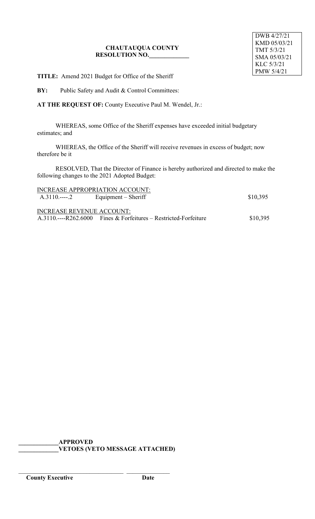**TITLE:** Amend 2021 Budget for Office of the Sheriff

**BY:** Public Safety and Audit & Control Committees:

**AT THE REQUEST OF:** County Executive Paul M. Wendel, Jr.:

WHEREAS, some Office of the Sheriff expenses have exceeded initial budgetary estimates; and

WHEREAS, the Office of the Sheriff will receive revenues in excess of budget; now therefore be it

RESOLVED, That the Director of Finance is hereby authorized and directed to make the following changes to the 2021 Adopted Budget:

|                                  | INCREASE APPROPRIATION ACCOUNT:                                    |          |
|----------------------------------|--------------------------------------------------------------------|----------|
|                                  |                                                                    | \$10,395 |
|                                  |                                                                    |          |
| <b>INCREASE REVENUE ACCOUNT:</b> |                                                                    |          |
|                                  | $A.3110$ ----R262.6000 Fines & Forfeitures – Restricted-Forfeiture | \$10,395 |

**\_\_\_\_\_\_\_\_\_\_\_\_\_APPROVED \_\_\_\_\_\_\_\_\_\_\_\_\_VETOES (VETO MESSAGE ATTACHED)**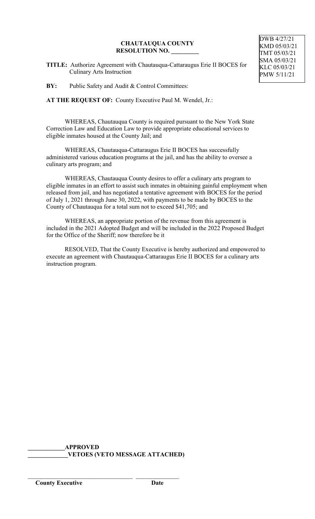**TITLE:** Authorize Agreement with Chautauqua-Cattaraugus Erie II BOCES for Culinary Arts Instruction

**BY:** Public Safety and Audit & Control Committees:

**AT THE REQUEST OF:** County Executive Paul M. Wendel, Jr.:

WHEREAS, Chautauqua County is required pursuant to the New York State Correction Law and Education Law to provide appropriate educational services to eligible inmates housed at the County Jail; and

WHEREAS, Chautauqua-Cattaraugus Erie II BOCES has successfully administered various education programs at the jail, and has the ability to oversee a culinary arts program; and

WHEREAS, Chautauqua County desires to offer a culinary arts program to eligible inmates in an effort to assist such inmates in obtaining gainful employment when released from jail, and has negotiated a tentative agreement with BOCES for the period of July 1, 2021 through June 30, 2022, with payments to be made by BOCES to the County of Chautauqua for a total sum not to exceed \$41,705; and

WHEREAS, an appropriate portion of the revenue from this agreement is included in the 2021 Adopted Budget and will be included in the 2022 Proposed Budget for the Office of the Sheriff; now therefore be it

RESOLVED, That the County Executive is hereby authorized and empowered to execute an agreement with Chautauqua-Cattaraugus Erie II BOCES for a culinary arts instruction program.

**\_\_\_\_\_\_\_\_\_\_\_\_APPROVED \_\_\_\_\_\_\_\_\_\_\_\_\_VETOES (VETO MESSAGE ATTACHED)**

\_\_\_\_\_\_\_\_\_\_\_\_\_\_\_\_\_\_\_\_\_\_\_\_\_\_\_\_\_\_\_\_\_\_ \_\_\_\_\_\_\_\_\_\_\_\_\_\_

DWB 4/27/21 KMD 05/03/21 TMT 05/03/21 SMA 05/03/21 KLC 05/03/21 PMW 5/11/21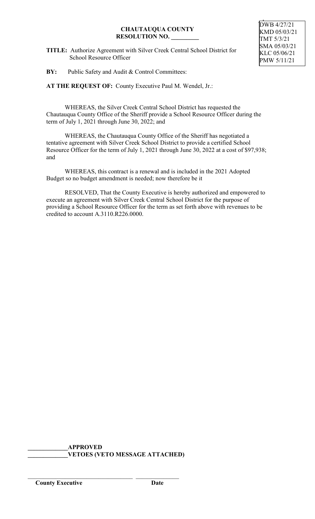**TITLE:** Authorize Agreement with Silver Creek Central School District for School Resource Officer

**BY:** Public Safety and Audit & Control Committees:

**AT THE REQUEST OF:** County Executive Paul M. Wendel, Jr.:

WHEREAS, the Silver Creek Central School District has requested the Chautauqua County Office of the Sheriff provide a School Resource Officer during the term of July 1, 2021 through June 30, 2022; and

WHEREAS, the Chautauqua County Office of the Sheriff has negotiated a tentative agreement with Silver Creek School District to provide a certified School Resource Officer for the term of July 1, 2021 through June 30, 2022 at a cost of \$97,938; and

WHEREAS, this contract is a renewal and is included in the 2021 Adopted Budget so no budget amendment is needed; now therefore be it

RESOLVED, That the County Executive is hereby authorized and empowered to execute an agreement with Silver Creek Central School District for the purpose of providing a School Resource Officer for the term as set forth above with revenues to be credited to account A.3110.R226.0000.

**\_\_\_\_\_\_\_\_\_\_\_\_\_APPROVED \_\_\_\_\_\_\_\_\_\_\_\_\_VETOES (VETO MESSAGE ATTACHED)**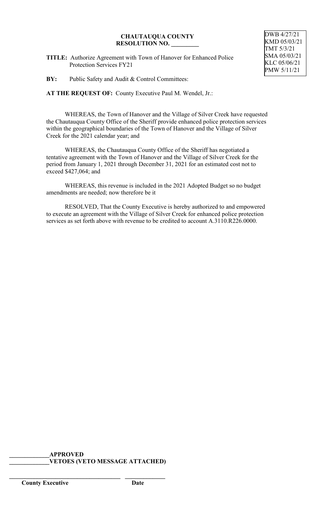**TITLE:** Authorize Agreement with Town of Hanover for Enhanced Police Protection Services FY21

**BY:** Public Safety and Audit & Control Committees:

**AT THE REQUEST OF:** County Executive Paul M. Wendel, Jr.:

WHEREAS, the Town of Hanover and the Village of Silver Creek have requested the Chautauqua County Office of the Sheriff provide enhanced police protection services within the geographical boundaries of the Town of Hanover and the Village of Silver Creek for the 2021 calendar year; and

WHEREAS, the Chautauqua County Office of the Sheriff has negotiated a tentative agreement with the Town of Hanover and the Village of Silver Creek for the period from January 1, 2021 through December 31, 2021 for an estimated cost not to exceed \$427,064; and

WHEREAS, this revenue is included in the 2021 Adopted Budget so no budget amendments are needed; now therefore be it

RESOLVED, That the County Executive is hereby authorized to and empowered to execute an agreement with the Village of Silver Creek for enhanced police protection services as set forth above with revenue to be credited to account A.3110.R226.0000.

## **\_\_\_\_\_\_\_\_\_\_\_\_\_APPROVED \_\_\_\_\_\_\_\_\_\_\_\_\_VETOES (VETO MESSAGE ATTACHED)**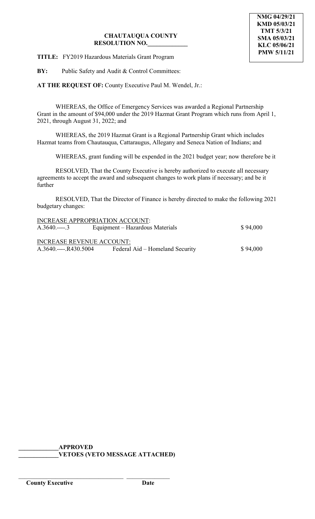**TITLE:** FY2019 Hazardous Materials Grant Program

**BY:** Public Safety and Audit & Control Committees:

**AT THE REQUEST OF:** County Executive Paul M. Wendel, Jr.:

WHEREAS, the Office of Emergency Services was awarded a Regional Partnership Grant in the amount of \$94,000 under the 2019 Hazmat Grant Program which runs from April 1, 2021, through August 31, 2022; and

WHEREAS, the 2019 Hazmat Grant is a Regional Partnership Grant which includes Hazmat teams from Chautauqua, Cattaraugus, Allegany and Seneca Nation of Indians; and

WHEREAS, grant funding will be expended in the 2021 budget year; now therefore be it

RESOLVED, That the County Executive is hereby authorized to execute all necessary agreements to accept the award and subsequent changes to work plans if necessary; and be it further

RESOLVED, That the Director of Finance is hereby directed to make the following 2021 budgetary changes:

|                                 | \$94,000                                                                                                      |
|---------------------------------|---------------------------------------------------------------------------------------------------------------|
|                                 |                                                                                                               |
|                                 |                                                                                                               |
| Federal Aid – Homeland Security | \$94,000                                                                                                      |
|                                 | <b>INCREASE APPROPRIATION ACCOUNT:</b><br>Equipment – Hazardous Materials<br><b>INCREASE REVENUE ACCOUNT:</b> |

**\_\_\_\_\_\_\_\_\_\_\_\_\_APPROVED \_\_\_\_\_\_\_\_\_\_\_\_\_VETOES (VETO MESSAGE ATTACHED)**